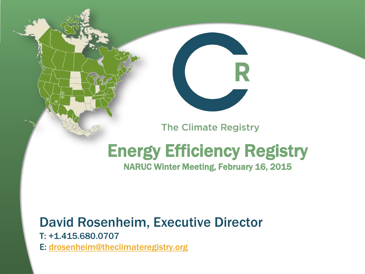

#### **The Climate Registry**

# Energy Efficiency Registry

NARUC Winter Meeting, February 16, 2015

#### David Rosenheim, Executive Director

T: +1.415.680.0707 E: [drosenheim@theclimateregistry.org](mailto:drosenheim@theclimateregistry.org)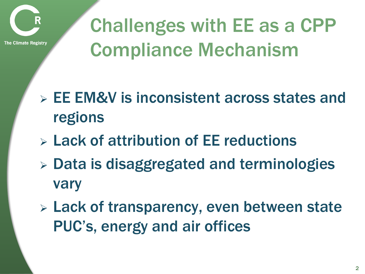

Challenges with EE as a CPP Compliance Mechanism

- EE EM&V is inconsistent across states and regions
- Lack of attribution of EE reductions
- Data is disaggregated and terminologies vary
- Lack of transparency, even between state PUC's, energy and air offices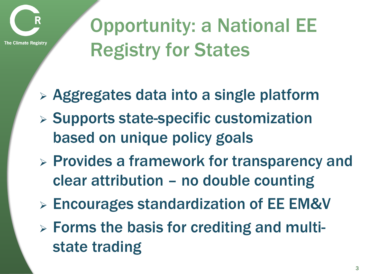

The Climate Registry

## Opportunity: a National EE Registry for States

- Aggregates data into a single platform
- $\triangleright$  Supports state-specific customization based on unique policy goals
- $\triangleright$  Provides a framework for transparency and clear attribution – no double counting
- Encourages standardization of EE EM&V
- Forms the basis for crediting and multistate trading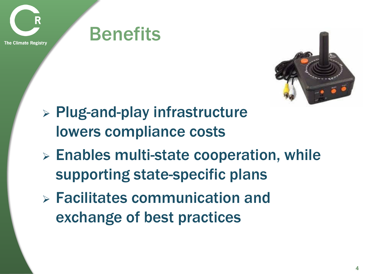

**Benefits** 



- $\triangleright$  Plug-and-play infrastructure lowers compliance costs
- $\triangleright$  Enables multi-state cooperation, while supporting state-specific plans
- Facilitates communication and exchange of best practices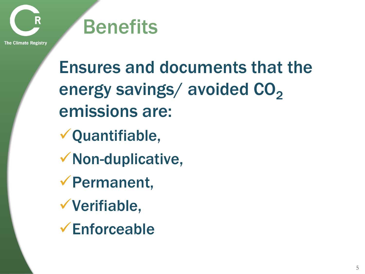

**The Climate Registry** 

Ensures and documents that the energy savings/ avoided  $CO<sub>2</sub>$ emissions are: Quantifiable, Non-duplicative, Permanent, Verifiable,

Enforceable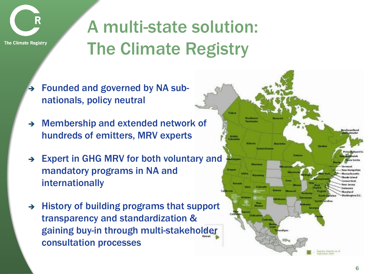

## A multi-state solution: The Climate Registry

- Founded and governed by NA subnationals, policy neutral
- $\rightarrow$  Membership and extended network of hundreds of emitters, MRV experts
- → Expert in GHG MRV for both voluntary and mandatory programs in NA and internationally
- $\rightarrow$  History of building programs that support transparency and standardization & gaining buy-in through multi-stakeholder consultation processes

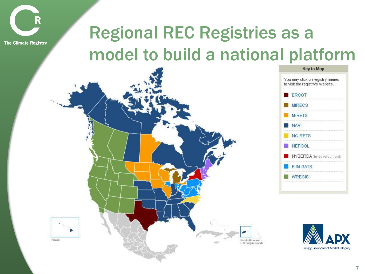

#### Regional REC Registries as a model to build a national platform





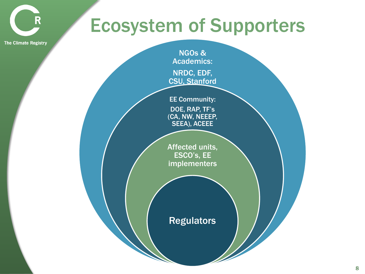### Ecosystem of Supporters

**The Climate Registry** 

R

NGOs & Academics: NRDC, EDF, CSU, Stanford

EE Community: DOE, RAP, TF's (CA, NW, NEEEP, SEEA), ACEEE

Affected units, ESCO's, EE implementers

**Regulators**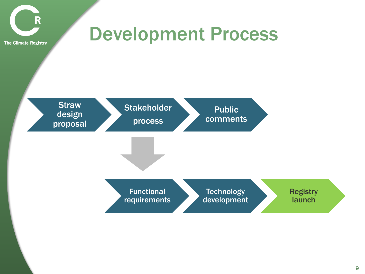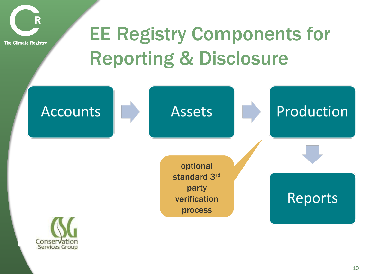

## EE Registry Components for Reporting & Disclosure

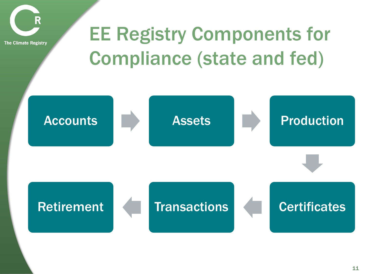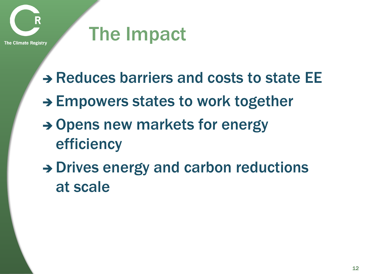

### The Impact

- → Reduces barriers and costs to state EE
- $\rightarrow$  Empowers states to work together
- $\rightarrow$  Opens new markets for energy efficiency
- $\rightarrow$  Drives energy and carbon reductions at scale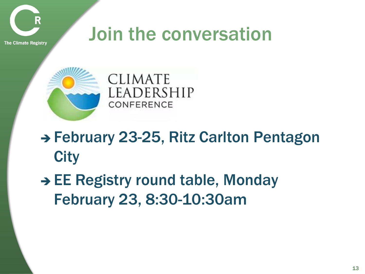

#### Join the conversation

**The Climate Registry** 



#### → February 23-25, Ritz Carlton Pentagon **City**

 $\rightarrow$  EE Registry round table, Monday February 23, 8:30-10:30am